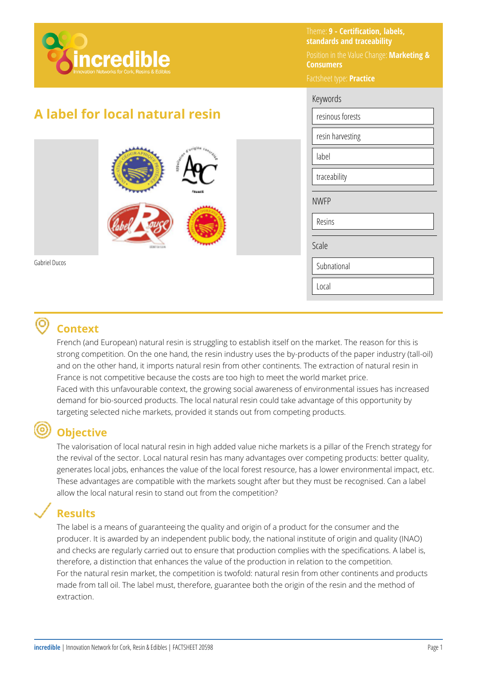

# **A label for local natural resin**



Gabriel Ducos

### Theme: **9 - Certification, labels, standards and traceability**

Position in the Value Change: **Marketing & Consumers** 

Factsheet type: **Practice**  Keywords resinous forests resin harvesting label traceability NWFP

Resins

Scale

Subnational

Local

## **Context**

French (and European) natural resin is struggling to establish itself on the market. The reason for this is strong competition. On the one hand, the resin industry uses the by-products of the paper industry (tall-oil) and on the other hand, it imports natural resin from other continents. The extraction of natural resin in France is not competitive because the costs are too high to meet the world market price. Faced with this unfavourable context, the growing social awareness of environmental issues has increased demand for bio-sourced products. The local natural resin could take advantage of this opportunity by targeting selected niche markets, provided it stands out from competing products.

# **Objective**

The valorisation of local natural resin in high added value niche markets is a pillar of the French strategy for the revival of the sector. Local natural resin has many advantages over competing products: better quality, generates local jobs, enhances the value of the local forest resource, has a lower environmental impact, etc. These advantages are compatible with the markets sought after but they must be recognised. Can a label allow the local natural resin to stand out from the competition?

## **Results**

The label is a means of guaranteeing the quality and origin of a product for the consumer and the producer. It is awarded by an independent public body, the national institute of origin and quality (INAO) and checks are regularly carried out to ensure that production complies with the specifications. A label is, therefore, a distinction that enhances the value of the production in relation to the competition. For the natural resin market, the competition is twofold: natural resin from other continents and products made from tall oil. The label must, therefore, guarantee both the origin of the resin and the method of extraction.